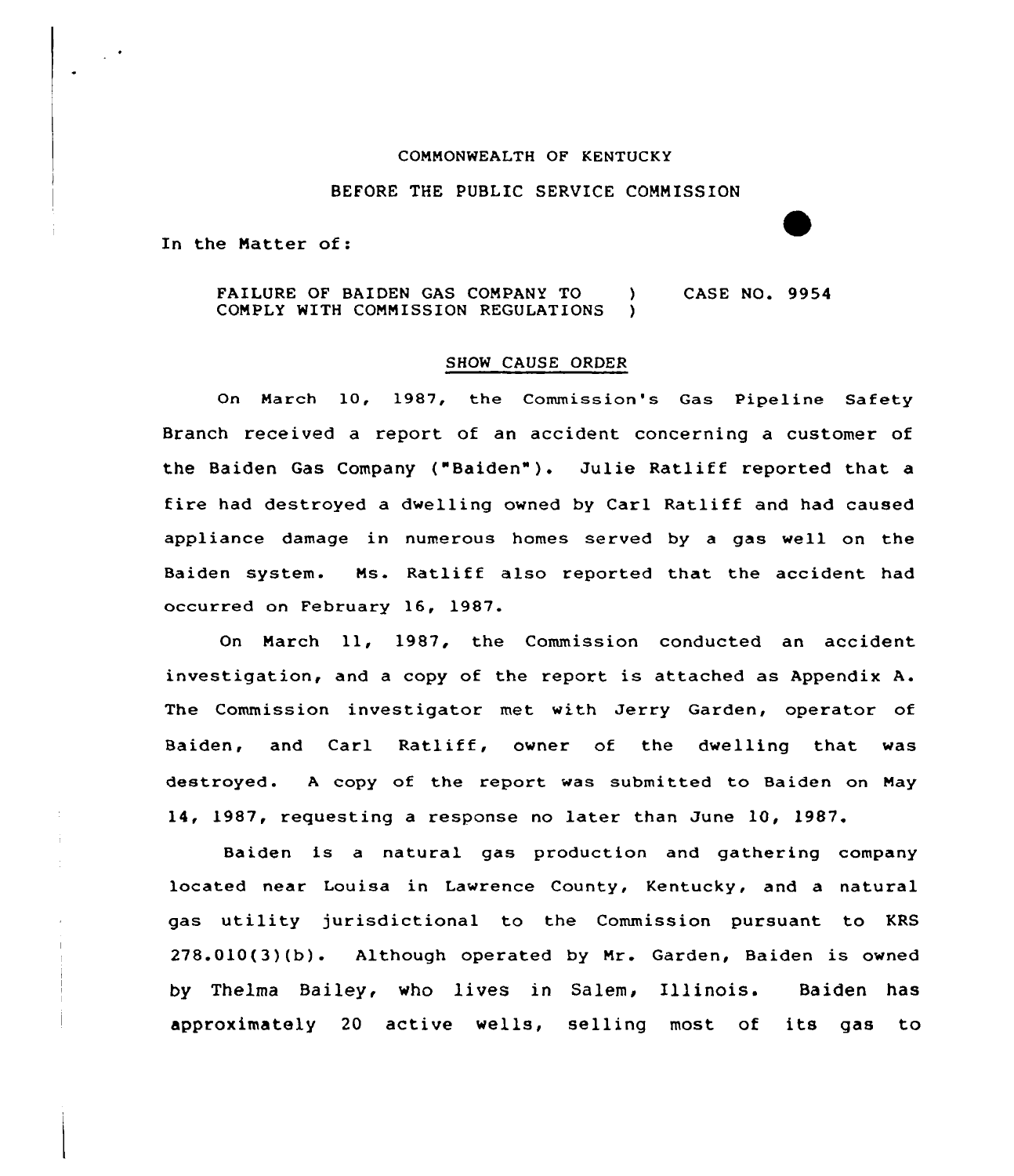## CONNONWEALTH OF KENTUCKY

## BEFORE THE PUBLIC SERVICE CONNISSION

In the Natter of:

## FAILURE OF BAIDEN GAS COMPANY TO (3) CASE NO. 9954 CONPLY WITH CONNISSION REGULATIONS )

## SHOW CAUSE ORDER

On March 10, 1987, the Commission's Gas Pipeline Safety Branch received a report of an accident concerning a customer of the Baiden Gas Company ("Baiden"). Julie Ratliff reported that a fire had destroyed a dwelling owned by Carl Ratliff and had caused appliance damage in numerous homes served by a gas well on the Baiden system. Ns. Ratliff also reported that the accident had occurred on February 16, 1987.

On Narch 11, 1987, the Commission conducted an accident investigation, and <sup>a</sup> copy of the report is attached as Appendix A. The Commission investigator met with Jerry Garden, operator of Baiden, and Carl Ratliff, owner of the dwelling that was destroyed. <sup>A</sup> copy of the report was submitted to Baiden on Nay 14, 1987, requesting a response no later than June 10, 1987.

Baiden is a natural gas production and gathering company located near Louisa in Lawrence County, Kentucky, and a natural gas utility jurisdictional to the Commission pursuant to KRS 278.010(3)(b). Although operated by Nr. Garden, Baiden is owned by Thelma Bailey, who lives in Salem, Illinois. Baiden has approximately <sup>20</sup> active wells, selling most of its gas to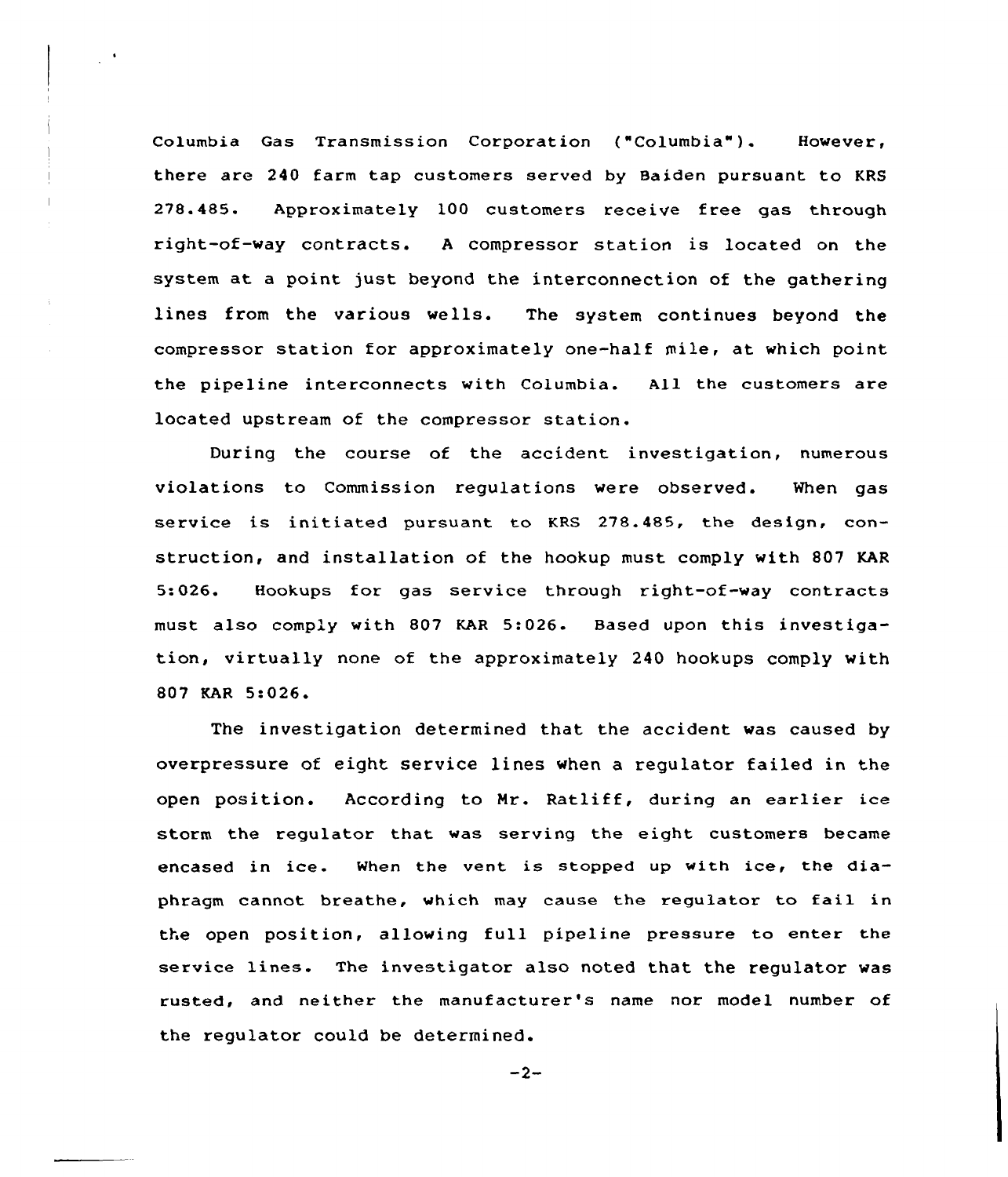Columbia Gas Transmission Corporation ("Columbia" ). However, there are 240 farm tap customers served by Baiden pursuant to KRS 278.485. Approximately 100 customers receive free gas through right-of-way contracts. <sup>A</sup> compressor station is located on the system at a point just beyond the interconnection of the gathering lines from the various wells. The system continues beyond the compressor station for approximately one-half mile, at which point the pipeline interconnects with Columbia. All the customers are located upstream of the compressor station.

 $\mathcal{L}^{(1,1)}$ 

During the course of the accident investigation, numerous violations to Commission regulations were observed. When gas service is initiated pursuant to KRS 278.485, the design, construction, and installation of the hookup must comply with 807 KAR 5:026. Hookups for gas service through right-of-way contracts must also comply with 807 KAR 5:026. Based upon this investigation, virtually none of the approximately 240 hookups comply with 807 KAR 5:026

The investigation determined that the accident was caused by overpressure of eight service lines when a regulator failed in the open position. According to Mr. Ratliff, during an earlier ice storm the regulator that was serving the eight customers became encased in ice. When the vent is stopped up with ice, the diaphragm cannot breathe, which may cause the regulator to fail in the open position, allowing full pipeline pressure to enter the service lines. The investigator also noted that the regulator was rusted, and neither the manufacturer's name nor model number of the regulator could be determined.

 $-2-$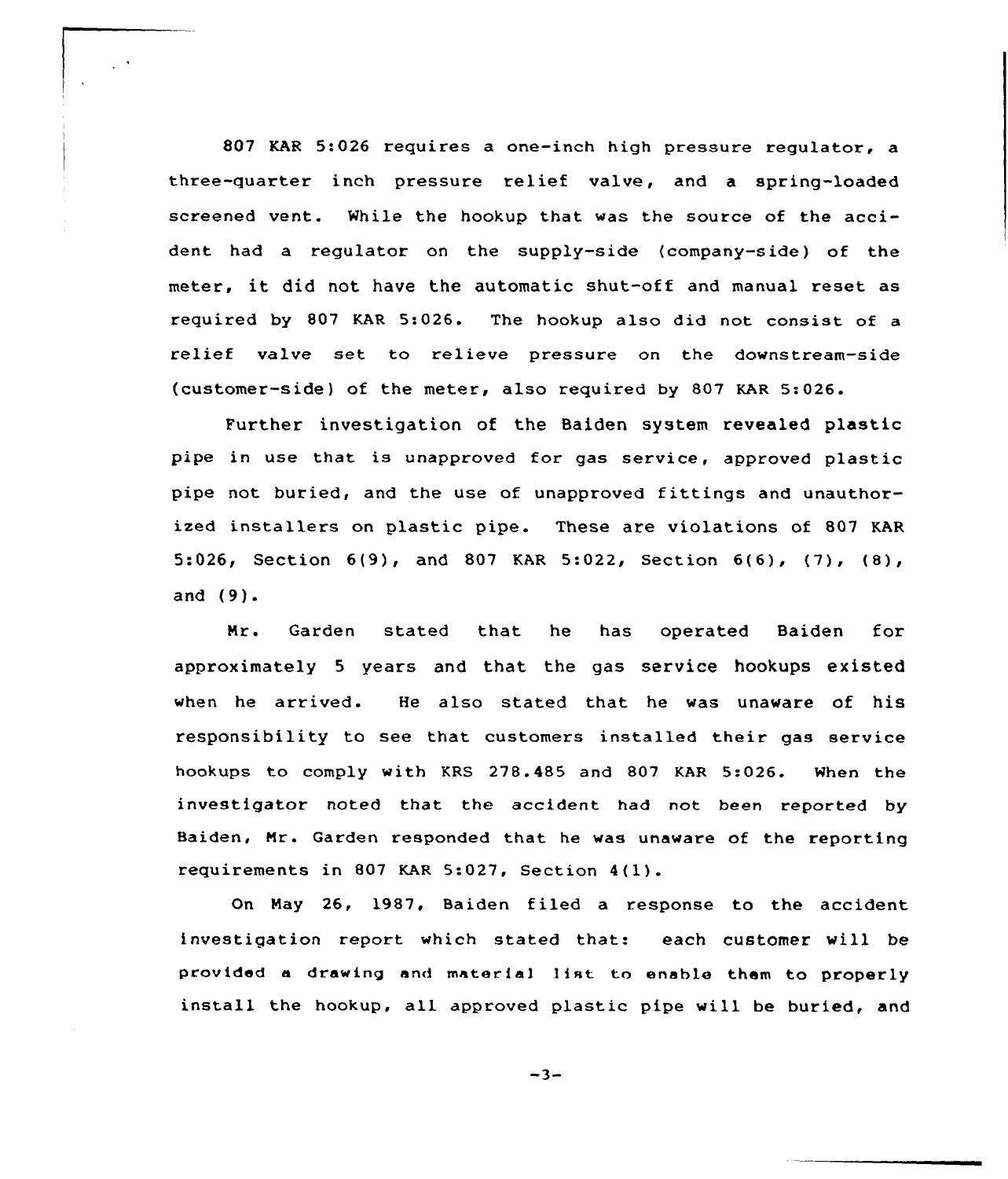807 KAR 5:026 requires a one-inch high pressure regulator, a three-quarter inch pressure relief valve, and a spring-loaded screened vent. While the hookup that was the source of the accident had a regulator on the supply-side (company-side) of the meter, it did not have the automatic shut-off and manual reset as required by 807 KAR 5:026. The hookup also did not consist of a relief valve set to relieve pressure on the downstream-side (customer-side) of the meter, also required by 807 KAR 5:026.

 $\mathcal{L}^{\mathcal{A}}$ 

Further investigation of the Baiden system revealed plastic pipe in use that is unapproved for gas service, approved plastic pipe not buried, and the use of unapproved fittings and unauthorized installers on plastic pipe. These are violations of 807 KAR 5:026, Section  $6(9)$ , and 807 KAR 5:022, Section  $6(6)$ ,  $(7)$ ,  $(8)$ , and (9).

Mr. Garden stated that he has operated Baiden for approximately <sup>5</sup> years and that the gas service hookups existed when he arrived. He also stated that he was unaware of his responsibility to see that customers installed their gas service hookups to comply with KRS 278.485 and 807 KAR 5:026. When the investigator noted that the accident had not been reported by Baiden, Mr. Garden responded that he was unaware of the reporting requirements in <sup>807</sup> KAR 5:027, Section 4(1).

On May 26, 1987, Baiden filed a response to the accident investigation report which stated that: each customer will be provided <sup>a</sup> drawing and materia] 1ist to enable them to properly install the hookup, all approved plastic pipe will be buried, and

 $-3-$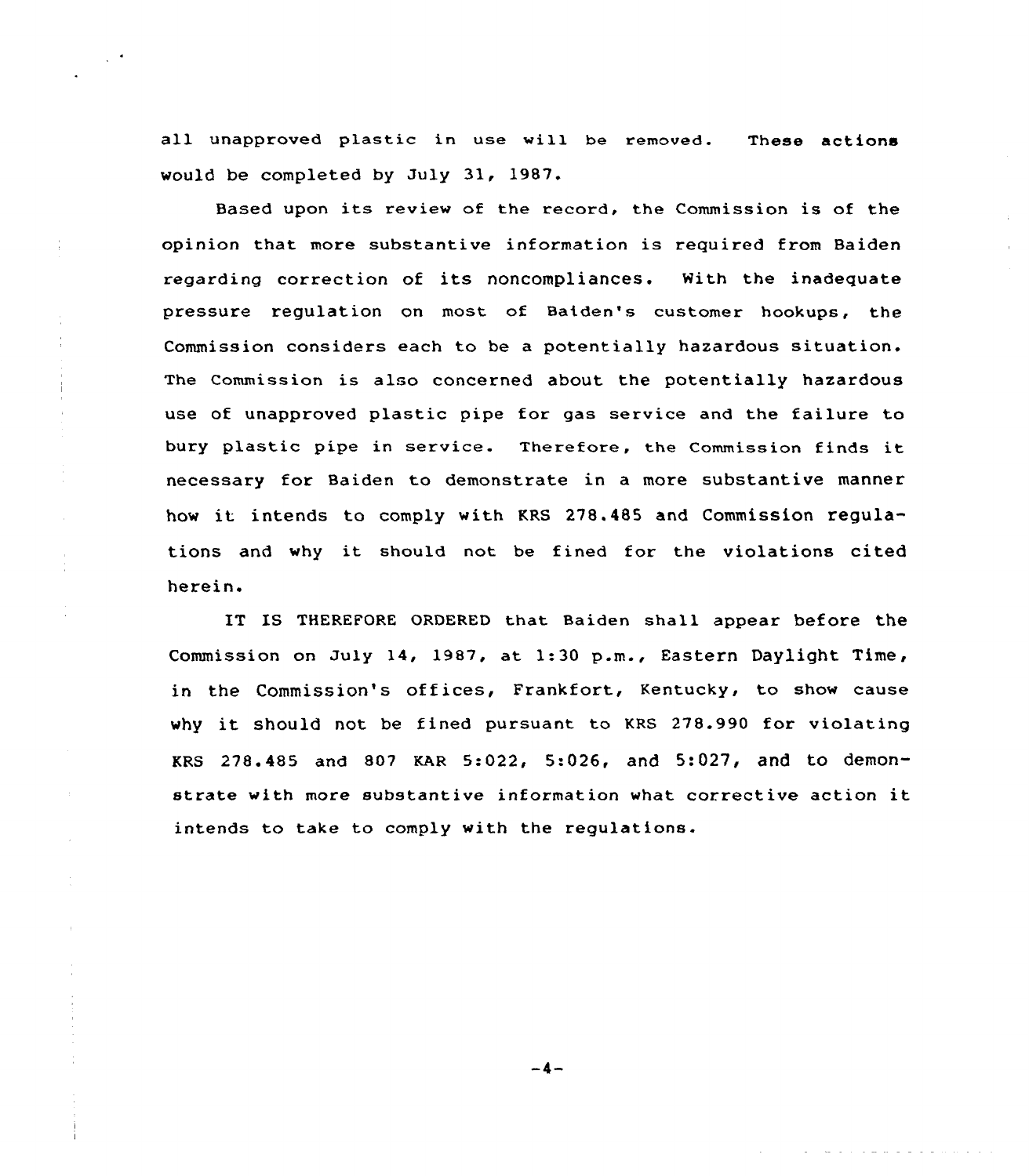all unapproved plastic in use will be removed. These actions would be completed by July 31, 1987.

Based upon its review of the record, the Commission is of the opinion that more substantive information is required from Baiden regarding correction of its noncompliances. With the inadequate pressure regulation on most of Baiden's customer hookups, the Commission considers each to be a potentially hazardous situation. The Commission is also concerned about the potentially hazardous use of unapproved plastic pipe for gas service and the failure to bury plastic pipe in service. Therefore, the Commission finds it necessary for Baiden to demonstrate in a more substantive manner how it intends to comply with KRS 278.485 and Commission regulations and why it should not be fined for the violations cited herein.

IT IS THEREFORE ORDERED that Baiden shall appear before the Commission on July 14, 1987, at 1:30 p.m., Eastern Daylight Time, in the Commission's offices, Frankfort, Kentucky, to show cause why it should not be fined pursuant to KRS 278.990 for violating KRS 278.485 and 807 KAR 5:022, 5:026, and 5:027, and to demonstrate with more substantive information what corrective action it intends to take to comply with the regulations.

 $-4-$ 

منابذ والوالو والواعد والوالد والواقع